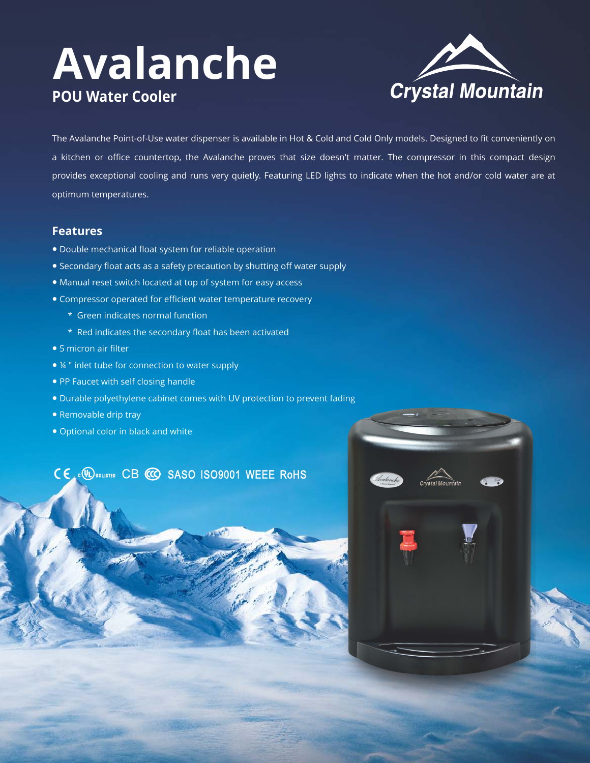# **Avalanche POU Water Cooler**



The Avalanche Point-of-Use water dispenser is available in Hot & Cold and Cold Only models. Designed to fit conveniently on a kitchen or office countertop, the Avalanche proves that size doesn't matter. The compressor in this compact design provides exceptional cooling and runs very quietly. Featuring LED lights to indicate when the hot and/or cold water are at optimum temperatures.

### **Features**

- Double mechanical float system for reliable operation
- Secondary float acts as a safety precaution by shutting off water supply
- Manual reset switch located at top of system for easy access
- Compressor operated for efficient water temperature recovery
	- \* Green indicates normal function
	- \* Red indicates the secondary float has been activated
- 5 micron air filter
- ¼ " inlet tube for connection to water supply
- PP Faucet with self closing handle
- Durable polyethylene cabinet comes with UV protection to prevent fading
- Removable drip tray
- Optional color in black and white

### CE . DUSLISTED CB CO SASO ISO9001 WEEE ROHS